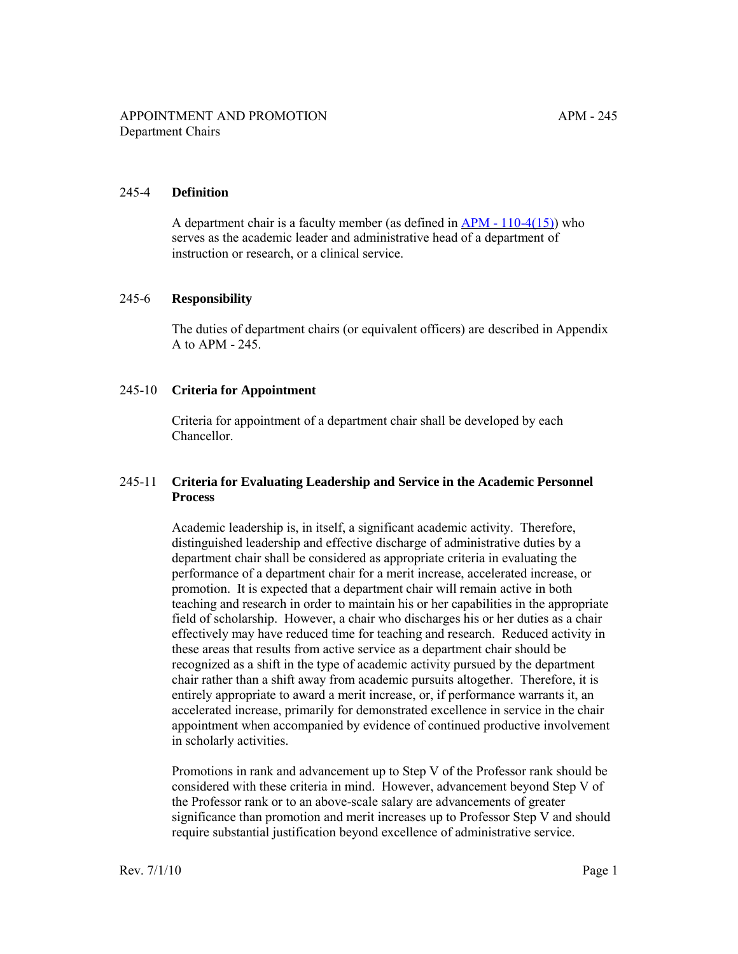## 245-4 **Definition**

A department chair is a faculty member (as defined in [APM - 110-4\(15\)\)](http://ucop.edu/academic-personnel-programs/_files/apm/apm-110.pdf) who serves as the academic leader and administrative head of a department of instruction or research, or a clinical service.

#### 245-6 **Responsibility**

The duties of department chairs (or equivalent officers) are described in Appendix A to [APM - 245](http://ucop.edu/academic-personnel-programs/_files/apm/apm-245.pdf).

#### 245-10 **Criteria for Appointment**

Criteria for appointment of a department chair shall be developed by each Chancellor.

## 245-11 **Criteria for Evaluating Leadership and Service in the Academic Personnel Process**

Academic leadership is, in itself, a significant academic activity. Therefore, distinguished leadership and effective discharge of administrative duties by a department chair shall be considered as appropriate criteria in evaluating the performance of a department chair for a merit increase, accelerated increase, or promotion. It is expected that a department chair will remain active in both teaching and research in order to maintain his or her capabilities in the appropriate field of scholarship. However, a chair who discharges his or her duties as a chair effectively may have reduced time for teaching and research. Reduced activity in these areas that results from active service as a department chair should be recognized as a shift in the type of academic activity pursued by the department chair rather than a shift away from academic pursuits altogether. Therefore, it is entirely appropriate to award a merit increase, or, if performance warrants it, an accelerated increase, primarily for demonstrated excellence in service in the chair appointment when accompanied by evidence of continued productive involvement in scholarly activities.

Promotions in rank and advancement up to Step V of the Professor rank should be considered with these criteria in mind. However, advancement beyond Step V of the Professor rank or to an above-scale salary are advancements of greater significance than promotion and merit increases up to Professor Step V and should require substantial justification beyond excellence of administrative service.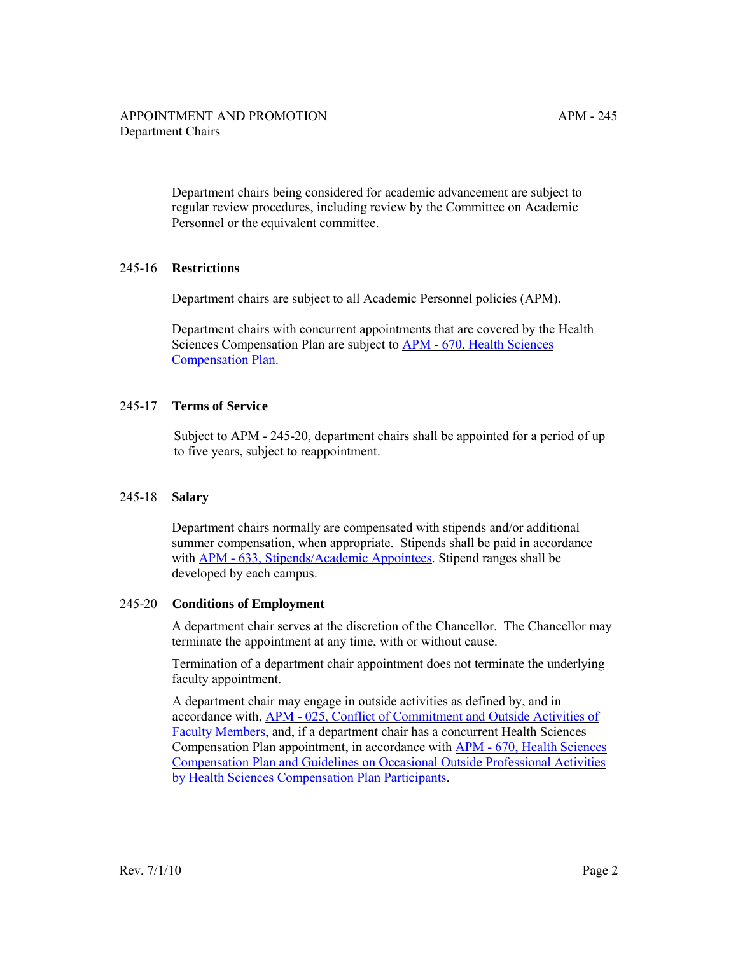Department chairs being considered for academic advancement are subject to regular review procedures, including review by the Committee on Academic Personnel or the equivalent committee.

# 245-16 **Restrictions**

Department chairs are subject to all Academic Personnel policies (APM).

Department chairs with concurrent appointments that are covered by the Health Sciences Compensation Plan are subject to APM - 670, Health Sciences [Compensation Plan.](http://ucop.edu/academic-personnel-programs/_files/apm/apm-670.pdf)

## 245-17 **Terms of Service**

Subject to APM - 245-20, department chairs shall be appointed for a period of up to five years, subject to reappointment.

## 245-18 **Salary**

Department chairs normally are compensated with stipends and/or additional summer compensation, when appropriate. Stipends shall be paid in accordance with [APM - 633, Stipends/Academic Appointees.](http://ucop.edu/academic-personnel-programs/_files/apm/apm-633.pdf) Stipend ranges shall be developed by each campus.

## 245-20 **Conditions of Employment**

A department chair serves at the discretion of the Chancellor. The Chancellor may terminate the appointment at any time, with or without cause.

Termination of a department chair appointment does not terminate the underlying faculty appointment.

A department chair may engage in outside activities as defined by, and in accordance with, [APM - 025, Conflict of Commitment and Outside Activities of](http://ucop.edu/academic-personnel-programs/_files/apm/apm-025-07-01.pdf)  [Faculty Members,](http://ucop.edu/academic-personnel-programs/_files/apm/apm-025-07-01.pdf) and, if a department chair has a concurrent Health Sciences Compensation Plan appointment, in accordance with [APM - 670, Health Sciences](http://ucop.edu/academic-personnel-programs/_files/apm/apm-670.pdf) [Compensation Plan and Guidelines on Occasional Outside Professional Activities](http://ucop.edu/academic-personnel-programs/_files/apm/apm-670.pdf)  [by Health Sciences Compensation Plan Participants.](http://ucop.edu/academic-personnel-programs/_files/apm/apm-670.pdf)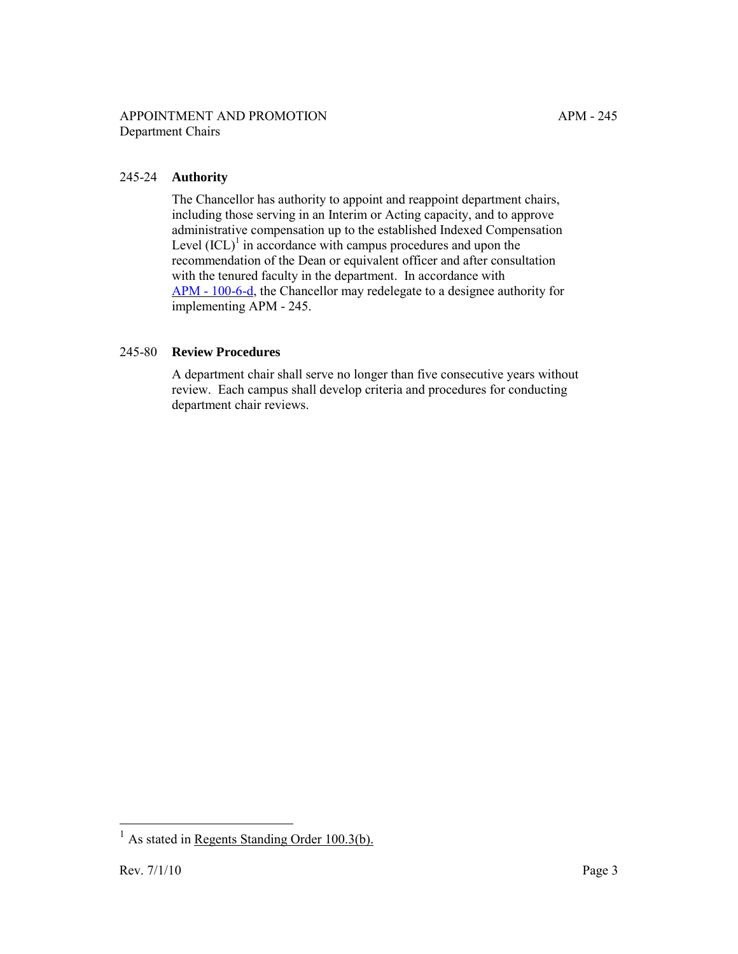## APPOINTMENT AND PROMOTION APM - 245 Department Chairs

# 245-24 **Authority**

The Chancellor has authority to appoint and reappoint department chairs, including those serving in an Interim or Acting capacity, and to approve administrative compensation up to the established Indexed Compensation Level  ${(ICL)}<sup>1</sup>$  in accordance with campus procedures and upon the recommendation of the Dean or equivalent officer and after consultation with the tenured faculty in the department. In accordance with [APM - 100-6-d](http://ucop.edu/academic-personnel-programs/_files/apm/apm-100.pdf), the Chancellor may redelegate to a designee authority for implementing APM - 245.

## 245-80 **Review Procedures**

A department chair shall serve no longer than five consecutive years without review. Each campus shall develop criteria and procedures for conducting department chair reviews.

 $\overline{a}$ 

 $<sup>1</sup>$  As stated in [Regents Standing Order 100.3\(b\).](http://www.universityofcalifornia.edu/regents/bylaws/so1003.html)</sup>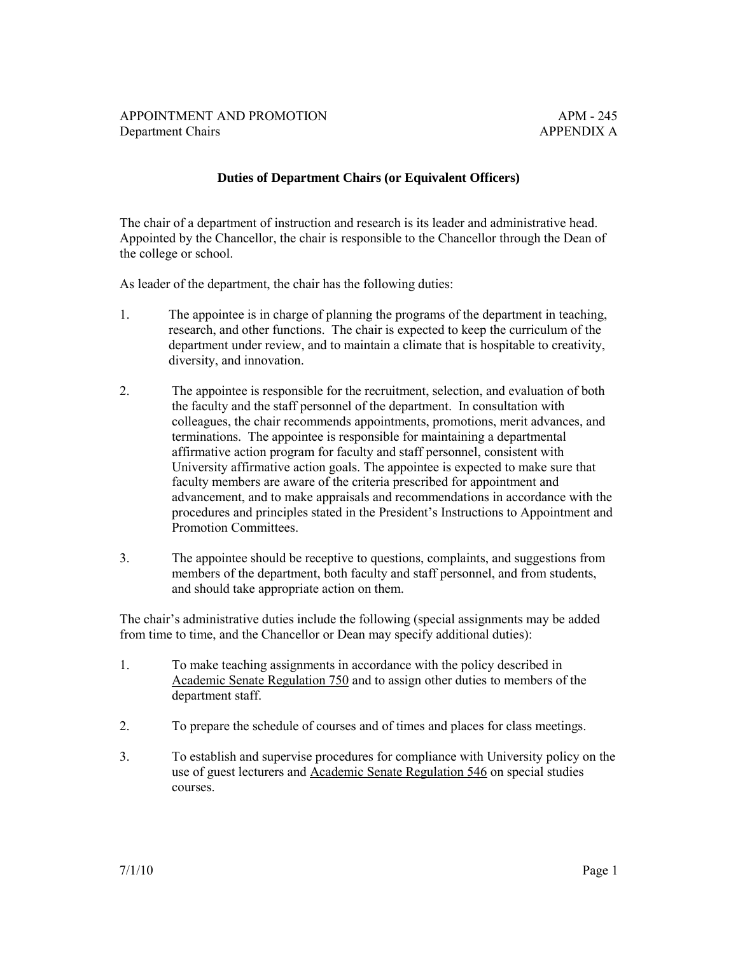## **Duties of Department Chairs (or Equivalent Officers)**

The chair of a department of instruction and research is its leader and administrative head. Appointed by the Chancellor, the chair is responsible to the Chancellor through the Dean of the college or school.

As leader of the department, the chair has the following duties:

- 1. The appointee is in charge of planning the programs of the department in teaching, research, and other functions. The chair is expected to keep the curriculum of the department under review, and to maintain a climate that is hospitable to creativity, diversity, and innovation.
- 2. The appointee is responsible for the recruitment, selection, and evaluation of both the faculty and the staff personnel of the department. In consultation with colleagues, the chair recommends appointments, promotions, merit advances, and terminations. The appointee is responsible for maintaining a departmental affirmative action program for faculty and staff personnel, consistent with University affirmative action goals. The appointee is expected to make sure that faculty members are aware of the criteria prescribed for appointment and advancement, and to make appraisals and recommendations in accordance with the procedures and principles stated in the President's Instructions to Appointment and Promotion Committees.
- 3. The appointee should be receptive to questions, complaints, and suggestions from members of the department, both faculty and staff personnel, and from students, and should take appropriate action on them.

The chair's administrative duties include the following (special assignments may be added from time to time, and the Chancellor or Dean may specify additional duties):

- 1. To make teaching assignments in accordance with the policy described in [Academic Senate Regulation 750](http://www.universityofcalifornia.edu/senate/manual/rpart3.html#r750) and to assign other duties to members of the department staff.
- 2. To prepare the schedule of courses and of times and places for class meetings.
- 3. To establish and supervise procedures for compliance with University policy on the use of guest lecturers and [Academic Senate Regulation 546](http://www.universityofcalifornia.edu/senate/manual/rpart2.html#r546) on special studies courses.